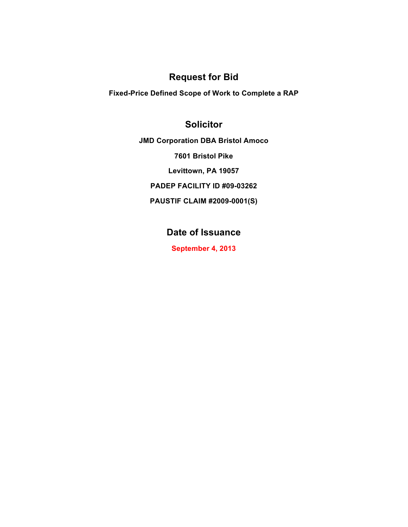## **Request for Bid**

**Fixed-Price Defined Scope of Work to Complete a RAP** 

## **Solicitor**

**JMD Corporation DBA Bristol Amoco**

**7601 Bristol Pike**

**Levittown, PA 19057**

**PADEP FACILITY ID #09-03262**

**PAUSTIF CLAIM #2009-0001(S)**

# **Date of Issuance**

**September 4, 2013**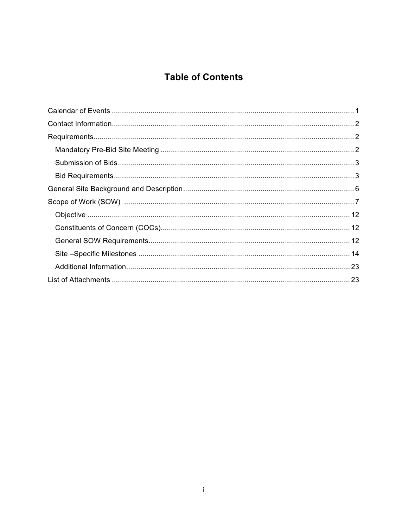# **Table of Contents**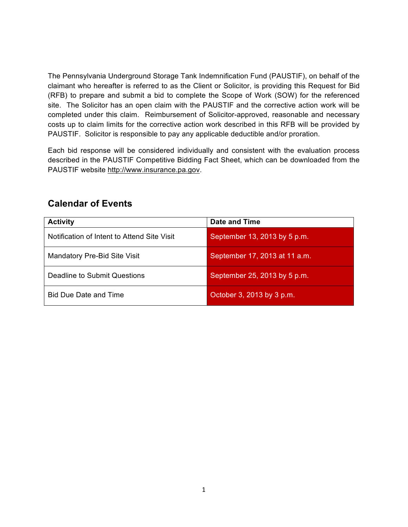The Pennsylvania Underground Storage Tank Indemnification Fund (PAUSTIF), on behalf of the claimant who hereafter is referred to as the Client or Solicitor, is providing this Request for Bid (RFB) to prepare and submit a bid to complete the Scope of Work (SOW) for the referenced site. The Solicitor has an open claim with the PAUSTIF and the corrective action work will be completed under this claim. Reimbursement of Solicitor-approved, reasonable and necessary costs up to claim limits for the corrective action work described in this RFB will be provided by PAUSTIF. Solicitor is responsible to pay any applicable deductible and/or proration.

Each bid response will be considered individually and consistent with the evaluation process described in the PAUSTIF Competitive Bidding Fact Sheet, which can be downloaded from the PAUSTIF website http://www.insurance.pa.gov.

| <b>Activity</b>                             | Date and Time                 |
|---------------------------------------------|-------------------------------|
| Notification of Intent to Attend Site Visit | September 13, 2013 by 5 p.m.  |
| Mandatory Pre-Bid Site Visit                | September 17, 2013 at 11 a.m. |
| Deadline to Submit Questions                | September 25, 2013 by 5 p.m.  |
| <b>Bid Due Date and Time</b>                | October 3, 2013 by 3 p.m.     |

## **Calendar of Events**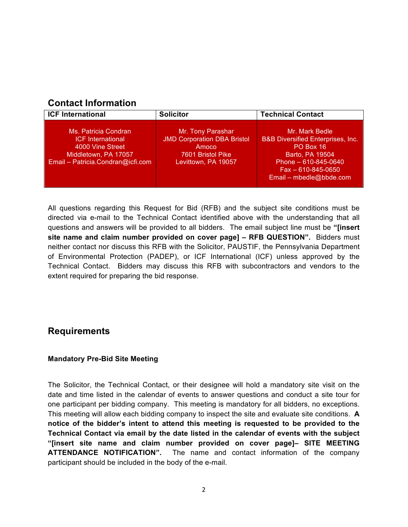## **Contact Information**

| <b>ICF International</b>                                                                                                          | <b>Solicitor</b>                                                                                             | <b>Technical Contact</b>                                                                                                                                                       |
|-----------------------------------------------------------------------------------------------------------------------------------|--------------------------------------------------------------------------------------------------------------|--------------------------------------------------------------------------------------------------------------------------------------------------------------------------------|
| Ms. Patricia Condran<br><b>ICF International</b><br>4000 Vine Street<br>Middletown, PA 17057<br>Email - Patricia.Condran@icfi.com | Mr. Tony Parashar<br><b>JMD Corporation DBA Bristol</b><br>Amoco<br>7601 Bristol Pike<br>Levittown, PA 19057 | Mr. Mark Bedle<br><b>B&amp;B Diversified Enterprises, Inc.</b><br>PO Box 16<br>Barto, PA 19504<br>Phone $-610-845-0640$<br>$Fax - 610 - 845 - 0650$<br>Email - mbedle@bbde.com |

All questions regarding this Request for Bid (RFB) and the subject site conditions must be directed via e-mail to the Technical Contact identified above with the understanding that all questions and answers will be provided to all bidders. The email subject line must be **"[insert site name and claim number provided on cover page] – RFB QUESTION".** Bidders must neither contact nor discuss this RFB with the Solicitor, PAUSTIF, the Pennsylvania Department of Environmental Protection (PADEP), or ICF International (ICF) unless approved by the Technical Contact. Bidders may discuss this RFB with subcontractors and vendors to the extent required for preparing the bid response.

## **Requirements**

### **Mandatory Pre-Bid Site Meeting**

The Solicitor, the Technical Contact, or their designee will hold a mandatory site visit on the date and time listed in the calendar of events to answer questions and conduct a site tour for one participant per bidding company. This meeting is mandatory for all bidders, no exceptions. This meeting will allow each bidding company to inspect the site and evaluate site conditions. **A notice of the bidder's intent to attend this meeting is requested to be provided to the Technical Contact via email by the date listed in the calendar of events with the subject "[insert site name and claim number provided on cover page]– SITE MEETING ATTENDANCE NOTIFICATION".** The name and contact information of the company participant should be included in the body of the e-mail.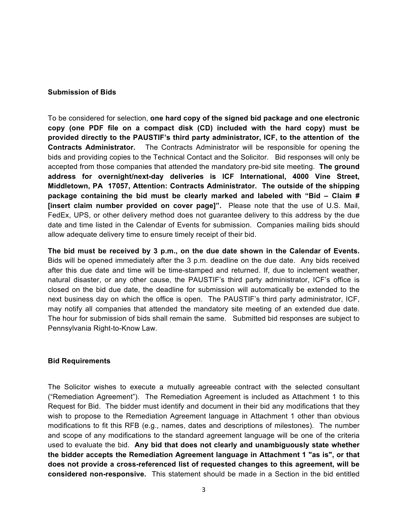#### **Submission of Bids**

To be considered for selection, **one hard copy of the signed bid package and one electronic copy (one PDF file on a compact disk (CD) included with the hard copy) must be provided directly to the PAUSTIF's third party administrator, ICF, to the attention of the Contracts Administrator.** The Contracts Administrator will be responsible for opening the bids and providing copies to the Technical Contact and the Solicitor. Bid responses will only be accepted from those companies that attended the mandatory pre-bid site meeting. **The ground address for overnight/next-day deliveries is ICF International, 4000 Vine Street, Middletown, PA 17057, Attention: Contracts Administrator. The outside of the shipping package containing the bid must be clearly marked and labeled with "Bid – Claim # [insert claim number provided on cover page]".** Please note that the use of U.S. Mail, FedEx, UPS, or other delivery method does not guarantee delivery to this address by the due date and time listed in the Calendar of Events for submission. Companies mailing bids should allow adequate delivery time to ensure timely receipt of their bid.

**The bid must be received by 3 p.m., on the due date shown in the Calendar of Events.** Bids will be opened immediately after the 3 p.m. deadline on the due date. Any bids received after this due date and time will be time-stamped and returned. If, due to inclement weather, natural disaster, or any other cause, the PAUSTIF's third party administrator, ICF's office is closed on the bid due date, the deadline for submission will automatically be extended to the next business day on which the office is open. The PAUSTIF's third party administrator, ICF, may notify all companies that attended the mandatory site meeting of an extended due date. The hour for submission of bids shall remain the same. Submitted bid responses are subject to Pennsylvania Right-to-Know Law.

#### **Bid Requirements**

The Solicitor wishes to execute a mutually agreeable contract with the selected consultant ("Remediation Agreement"). The Remediation Agreement is included as Attachment 1 to this Request for Bid. The bidder must identify and document in their bid any modifications that they wish to propose to the Remediation Agreement language in Attachment 1 other than obvious modifications to fit this RFB (e.g., names, dates and descriptions of milestones). The number and scope of any modifications to the standard agreement language will be one of the criteria used to evaluate the bid. **Any bid that does not clearly and unambiguously state whether the bidder accepts the Remediation Agreement language in Attachment 1 "as is", or that does not provide a cross-referenced list of requested changes to this agreement, will be considered non-responsive.** This statement should be made in a Section in the bid entitled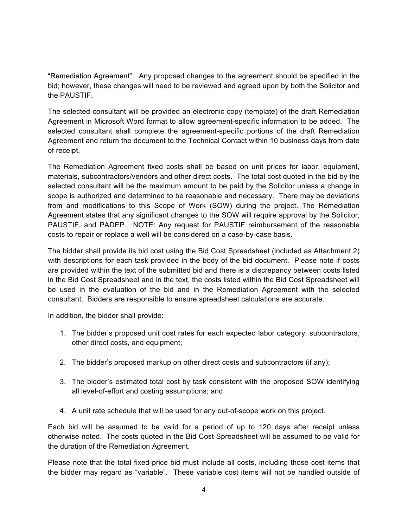"Remediation Agreement". Any proposed changes to the agreement should be specified in the bid; however, these changes will need to be reviewed and agreed upon by both the Solicitor and the PAUSTIF.

The selected consultant will be provided an electronic copy (template) of the draft Remediation Agreement in Microsoft Word format to allow agreement-specific information to be added. The selected consultant shall complete the agreement-specific portions of the draft Remediation Agreement and return the document to the Technical Contact within 10 business days from date of receipt.

The Remediation Agreement fixed costs shall be based on unit prices for labor, equipment, materials, subcontractors/vendors and other direct costs. The total cost quoted in the bid by the selected consultant will be the maximum amount to be paid by the Solicitor unless a change in scope is authorized and determined to be reasonable and necessary. There may be deviations from and modifications to this Scope of Work (SOW) during the project. The Remediation Agreement states that any significant changes to the SOW will require approval by the Solicitor, PAUSTIF, and PADEP. NOTE: Any request for PAUSTIF reimbursement of the reasonable costs to repair or replace a well will be considered on a case-by-case basis.

The bidder shall provide its bid cost using the Bid Cost Spreadsheet (included as Attachment 2) with descriptions for each task provided in the body of the bid document. Please note if costs are provided within the text of the submitted bid and there is a discrepancy between costs listed in the Bid Cost Spreadsheet and in the text, the costs listed within the Bid Cost Spreadsheet will be used in the evaluation of the bid and in the Remediation Agreement with the selected consultant. Bidders are responsible to ensure spreadsheet calculations are accurate.

In addition, the bidder shall provide:

- 1. The bidder's proposed unit cost rates for each expected labor category, subcontractors, other direct costs, and equipment;
- 2. The bidder's proposed markup on other direct costs and subcontractors (if any);
- 3. The bidder's estimated total cost by task consistent with the proposed SOW identifying all level-of-effort and costing assumptions; and
- 4. A unit rate schedule that will be used for any out-of-scope work on this project.

Each bid will be assumed to be valid for a period of up to 120 days after receipt unless otherwise noted. The costs quoted in the Bid Cost Spreadsheet will be assumed to be valid for the duration of the Remediation Agreement.

Please note that the total fixed-price bid must include all costs, including those cost items that the bidder may regard as "variable". These variable cost items will not be handled outside of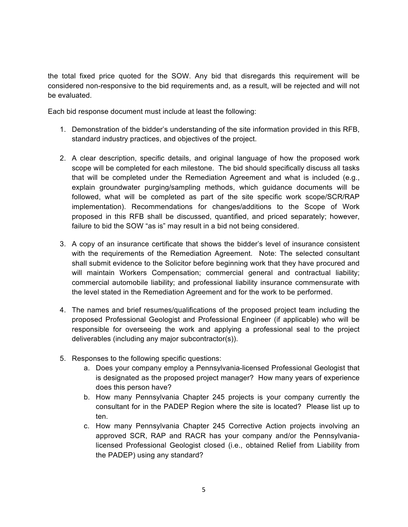the total fixed price quoted for the SOW. Any bid that disregards this requirement will be considered non-responsive to the bid requirements and, as a result, will be rejected and will not be evaluated.

Each bid response document must include at least the following:

- 1. Demonstration of the bidder's understanding of the site information provided in this RFB, standard industry practices, and objectives of the project.
- 2. A clear description, specific details, and original language of how the proposed work scope will be completed for each milestone. The bid should specifically discuss all tasks that will be completed under the Remediation Agreement and what is included (e.g., explain groundwater purging/sampling methods, which guidance documents will be followed, what will be completed as part of the site specific work scope/SCR/RAP implementation). Recommendations for changes/additions to the Scope of Work proposed in this RFB shall be discussed, quantified, and priced separately; however, failure to bid the SOW "as is" may result in a bid not being considered.
- 3. A copy of an insurance certificate that shows the bidder's level of insurance consistent with the requirements of the Remediation Agreement. Note: The selected consultant shall submit evidence to the Solicitor before beginning work that they have procured and will maintain Workers Compensation; commercial general and contractual liability; commercial automobile liability; and professional liability insurance commensurate with the level stated in the Remediation Agreement and for the work to be performed.
- 4. The names and brief resumes/qualifications of the proposed project team including the proposed Professional Geologist and Professional Engineer (if applicable) who will be responsible for overseeing the work and applying a professional seal to the project deliverables (including any major subcontractor(s)).
- 5. Responses to the following specific questions:
	- a. Does your company employ a Pennsylvania-licensed Professional Geologist that is designated as the proposed project manager? How many years of experience does this person have?
	- b. How many Pennsylvania Chapter 245 projects is your company currently the consultant for in the PADEP Region where the site is located? Please list up to ten.
	- c. How many Pennsylvania Chapter 245 Corrective Action projects involving an approved SCR, RAP and RACR has your company and/or the Pennsylvanialicensed Professional Geologist closed (i.e., obtained Relief from Liability from the PADEP) using any standard?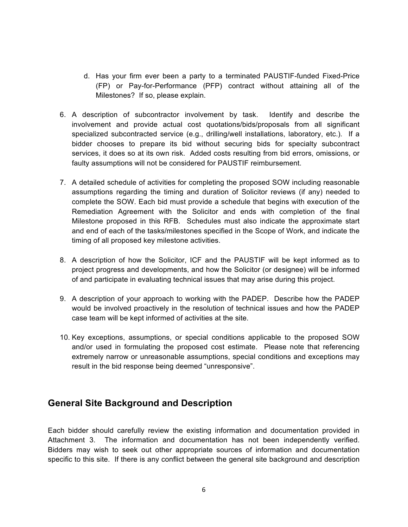- d. Has your firm ever been a party to a terminated PAUSTIF-funded Fixed-Price (FP) or Pay-for-Performance (PFP) contract without attaining all of the Milestones? If so, please explain.
- 6. A description of subcontractor involvement by task. Identify and describe the involvement and provide actual cost quotations/bids/proposals from all significant specialized subcontracted service (e.g., drilling/well installations, laboratory, etc.). If a bidder chooses to prepare its bid without securing bids for specialty subcontract services, it does so at its own risk. Added costs resulting from bid errors, omissions, or faulty assumptions will not be considered for PAUSTIF reimbursement.
- 7. A detailed schedule of activities for completing the proposed SOW including reasonable assumptions regarding the timing and duration of Solicitor reviews (if any) needed to complete the SOW. Each bid must provide a schedule that begins with execution of the Remediation Agreement with the Solicitor and ends with completion of the final Milestone proposed in this RFB. Schedules must also indicate the approximate start and end of each of the tasks/milestones specified in the Scope of Work, and indicate the timing of all proposed key milestone activities.
- 8. A description of how the Solicitor, ICF and the PAUSTIF will be kept informed as to project progress and developments, and how the Solicitor (or designee) will be informed of and participate in evaluating technical issues that may arise during this project.
- 9. A description of your approach to working with the PADEP. Describe how the PADEP would be involved proactively in the resolution of technical issues and how the PADEP case team will be kept informed of activities at the site.
- 10. Key exceptions, assumptions, or special conditions applicable to the proposed SOW and/or used in formulating the proposed cost estimate. Please note that referencing extremely narrow or unreasonable assumptions, special conditions and exceptions may result in the bid response being deemed "unresponsive".

## **General Site Background and Description**

Each bidder should carefully review the existing information and documentation provided in Attachment 3. The information and documentation has not been independently verified. Bidders may wish to seek out other appropriate sources of information and documentation specific to this site. If there is any conflict between the general site background and description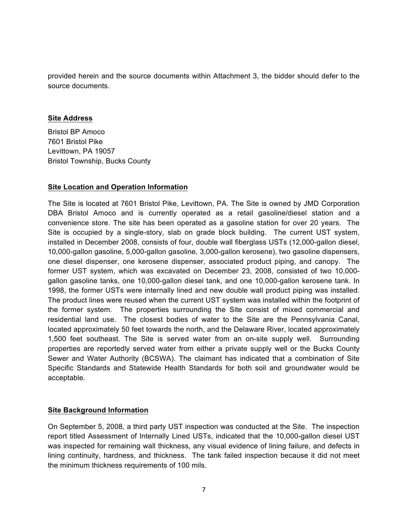provided herein and the source documents within Attachment 3, the bidder should defer to the source documents.

#### **Site Address**

Bristol BP Amoco 7601 Bristol Pike Levittown, PA 19057 Bristol Township, Bucks County

### **Site Location and Operation Information**

The Site is located at 7601 Bristol Pike, Levittown, PA. The Site is owned by JMD Corporation DBA Bristol Amoco and is currently operated as a retail gasoline/diesel station and a convenience store. The site has been operated as a gasoline station for over 20 years. The Site is occupied by a single-story, slab on grade block building. The current UST system, installed in December 2008, consists of four, double wall fiberglass USTs (12,000-gallon diesel, 10,000-gallon gasoline, 5,000-gallon gasoline, 3,000-gallon kerosene), two gasoline dispensers, one diesel dispenser, one kerosene dispenser, associated product piping, and canopy. The former UST system, which was excavated on December 23, 2008, consisted of two 10,000 gallon gasoline tanks, one 10,000-gallon diesel tank, and one 10,000-gallon kerosene tank. In 1998, the former USTs were internally lined and new double wall product piping was installed. The product lines were reused when the current UST system was installed within the footprint of the former system. The properties surrounding the Site consist of mixed commercial and residential land use. The closest bodies of water to the Site are the Pennsylvania Canal, located approximately 50 feet towards the north, and the Delaware River, located approximately 1,500 feet southeast. The Site is served water from an on-site supply well. Surrounding properties are reportedly served water from either a private supply well or the Bucks County Sewer and Water Authority (BCSWA). The claimant has indicated that a combination of Site Specific Standards and Statewide Health Standards for both soil and groundwater would be acceptable.

### **Site Background Information**

On September 5, 2008, a third party UST inspection was conducted at the Site. The inspection report titled Assessment of Internally Lined USTs, indicated that the 10,000-gallon diesel UST was inspected for remaining wall thickness, any visual evidence of lining failure, and defects in lining continuity, hardness, and thickness. The tank failed inspection because it did not meet the minimum thickness requirements of 100 mils.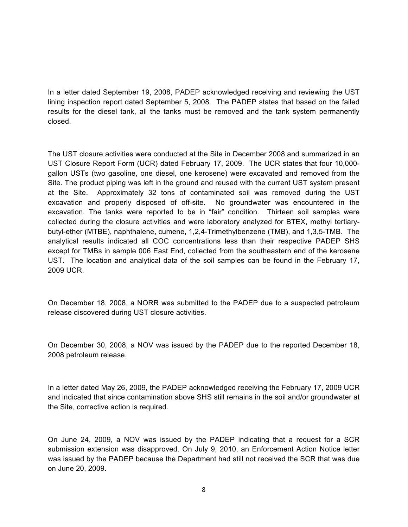In a letter dated September 19, 2008, PADEP acknowledged receiving and reviewing the UST lining inspection report dated September 5, 2008. The PADEP states that based on the failed results for the diesel tank, all the tanks must be removed and the tank system permanently closed.

The UST closure activities were conducted at the Site in December 2008 and summarized in an UST Closure Report Form (UCR) dated February 17, 2009. The UCR states that four 10,000 gallon USTs (two gasoline, one diesel, one kerosene) were excavated and removed from the Site. The product piping was left in the ground and reused with the current UST system present at the Site. Approximately 32 tons of contaminated soil was removed during the UST excavation and properly disposed of off-site. No groundwater was encountered in the excavation. The tanks were reported to be in "fair" condition. Thirteen soil samples were collected during the closure activities and were laboratory analyzed for BTEX, methyl tertiarybutyl-ether (MTBE), naphthalene, cumene, 1,2,4-Trimethylbenzene (TMB), and 1,3,5-TMB. The analytical results indicated all COC concentrations less than their respective PADEP SHS except for TMBs in sample 006 East End, collected from the southeastern end of the kerosene UST. The location and analytical data of the soil samples can be found in the February 17, 2009 UCR.

On December 18, 2008, a NORR was submitted to the PADEP due to a suspected petroleum release discovered during UST closure activities.

On December 30, 2008, a NOV was issued by the PADEP due to the reported December 18, 2008 petroleum release.

In a letter dated May 26, 2009, the PADEP acknowledged receiving the February 17, 2009 UCR and indicated that since contamination above SHS still remains in the soil and/or groundwater at the Site, corrective action is required.

On June 24, 2009, a NOV was issued by the PADEP indicating that a request for a SCR submission extension was disapproved. On July 9, 2010, an Enforcement Action Notice letter was issued by the PADEP because the Department had still not received the SCR that was due on June 20, 2009.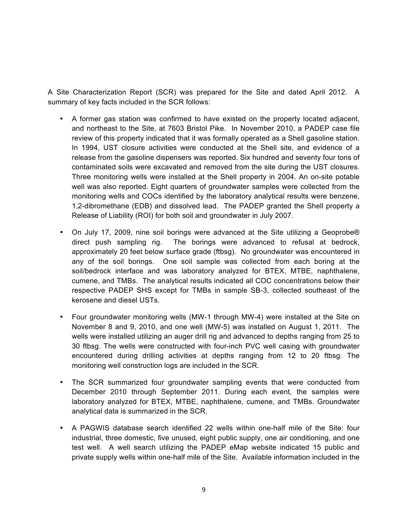A Site Characterization Report (SCR) was prepared for the Site and dated April 2012. A summary of key facts included in the SCR follows:

- A former gas station was confirmed to have existed on the property located adjacent, and northeast to the Site, at 7603 Bristol Pike. In November 2010, a PADEP case file review of this property indicated that it was formally operated as a Shell gasoline station. In 1994, UST closure activities were conducted at the Shell site, and evidence of a release from the gasoline dispensers was reported. Six hundred and seventy four tons of contaminated soils were excavated and removed from the site during the UST closures. Three monitoring wells were installed at the Shell property in 2004. An on-site potable well was also reported. Eight quarters of groundwater samples were collected from the monitoring wells and COCs identified by the laboratory analytical results were benzene, 1,2-dibromethane (EDB) and dissolved lead. The PADEP granted the Shell property a Release of Liability (ROI) for both soil and groundwater in July 2007.
- On July 17, 2009, nine soil borings were advanced at the Site utilizing a Geoprobe® direct push sampling rig. The borings were advanced to refusal at bedrock, approximately 20 feet below surface grade (ftbsg). No groundwater was encountered in any of the soil borings. One soil sample was collected from each boring at the soil/bedrock interface and was laboratory analyzed for BTEX, MTBE, naphthalene, cumene, and TMBs. The analytical results indicated all COC concentrations below their respective PADEP SHS except for TMBs in sample SB-3, collected southeast of the kerosene and diesel USTs.
- Four groundwater monitoring wells (MW-1 through MW-4) were installed at the Site on November 8 and 9, 2010, and one well (MW-5) was installed on August 1, 2011. The wells were installed utilizing an auger drill rig and advanced to depths ranging from 25 to 30 ftbsg. The wells were constructed with four-inch PVC well casing with groundwater encountered during drilling activities at depths ranging from 12 to 20 ftbsg. The monitoring well construction logs are included in the SCR.
- The SCR summarized four groundwater sampling events that were conducted from December 2010 through September 2011. During each event, the samples were laboratory analyzed for BTEX, MTBE, naphthalene, cumene, and TMBs. Groundwater analytical data is summarized in the SCR.
- A PAGWIS database search identified 22 wells within one-half mile of the Site: four industrial, three domestic, five unused, eight public supply, one air conditioning, and one test well. A well search utilizing the PADEP eMap website indicated 15 public and private supply wells within one-half mile of the Site. Available information included in the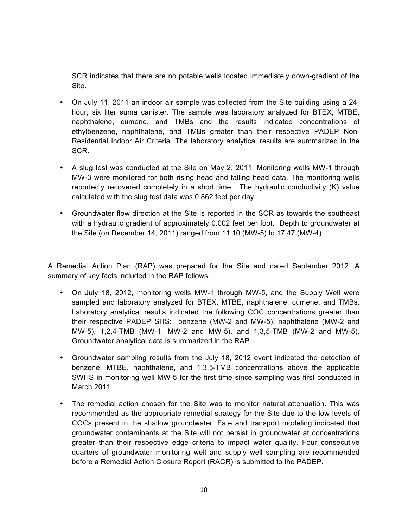SCR indicates that there are no potable wells located immediately down-gradient of the Site.

- On July 11, 2011 an indoor air sample was collected from the Site building using a 24 hour, six liter suma canister. The sample was laboratory analyzed for BTEX, MTBE, naphthalene, cumene, and TMBs and the results indicated concentrations of ethylbenzene, naphthalene, and TMBs greater than their respective PADEP Non-Residential Indoor Air Criteria. The laboratory analytical results are summarized in the SCR.
- A slug test was conducted at the Site on May 2, 2011. Monitoring wells MW-1 through MW-3 were monitored for both rising head and falling head data. The monitoring wells reportedly recovered completely in a short time. The hydraulic conductivity (K) value calculated with the slug test data was 0.862 feet per day.
- Groundwater flow direction at the Site is reported in the SCR as towards the southeast with a hydraulic gradient of approximately 0.002 feet per foot. Depth to groundwater at the Site (on December 14, 2011) ranged from 11.10 (MW-5) to 17.47 (MW-4).

A Remedial Action Plan (RAP) was prepared for the Site and dated September 2012. A summary of key facts included in the RAP follows:

- On July 18, 2012, monitoring wells MW-1 through MW-5, and the Supply Well were sampled and laboratory analyzed for BTEX, MTBE, naphthalene, cumene, and TMBs. Laboratory analytical results indicated the following COC concentrations greater than their respective PADEP SHS: benzene (MW-2 and MW-5), naphthalene (MW-2 and MW-5), 1,2,4-TMB (MW-1, MW-2 and MW-5), and 1,3,5-TMB (MW-2 and MW-5). Groundwater analytical data is summarized in the RAP.
- Groundwater sampling results from the July 18, 2012 event indicated the detection of benzene, MTBE, naphthalene, and 1,3,5-TMB concentrations above the applicable SWHS in monitoring well MW-5 for the first time since sampling was first conducted in March 2011.
- The remedial action chosen for the Site was to monitor natural attenuation. This was recommended as the appropriate remedial strategy for the Site due to the low levels of COCs present in the shallow groundwater. Fate and transport modeling indicated that groundwater contaminants at the Site will not persist in groundwater at concentrations greater than their respective edge criteria to impact water quality. Four consecutive quarters of groundwater monitoring well and supply well sampling are recommended before a Remedial Action Closure Report (RACR) is submitted to the PADEP.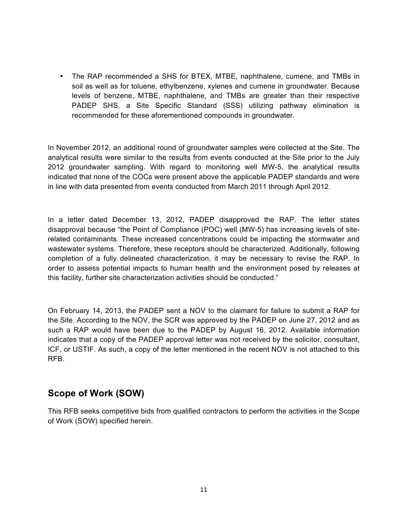• The RAP recommended a SHS for BTEX, MTBE, naphthalene, cumene, and TMBs in soil as well as for toluene, ethylbenzene, xylenes and cumene in groundwater. Because levels of benzene, MTBE, naphthalene, and TMBs are greater than their respective PADEP SHS, a Site Specific Standard (SSS) utilizing pathway elimination is recommended for these aforementioned compounds in groundwater.

In November 2012, an additional round of groundwater samples were collected at the Site. The analytical results were similar to the results from events conducted at the Site prior to the July 2012 groundwater sampling. With regard to monitoring well MW-5, the analytical results indicated that none of the COCs were present above the applicable PADEP standards and were in line with data presented from events conducted from March 2011 through April 2012.

In a letter dated December 13, 2012, PADEP disapproved the RAP. The letter states disapproval because "the Point of Compliance (POC) well (MW-5) has increasing levels of siterelated contaminants. These increased concentrations could be impacting the stormwater and wastewater systems. Therefore, these receptors should be characterized. Additionally, following completion of a fully delineated characterization, it may be necessary to revise the RAP. In order to assess potential impacts to human health and the environment posed by releases at this facility, further site characterization activities should be conducted."

On February 14, 2013, the PADEP sent a NOV to the claimant for failure to submit a RAP for the Site. According to the NOV, the SCR was approved by the PADEP on June 27, 2012 and as such a RAP would have been due to the PADEP by August 16, 2012. Available information indicates that a copy of the PADEP approval letter was not received by the solicitor, consultant, ICF, or USTIF. As such, a copy of the letter mentioned in the recent NOV is not attached to this RFB.

## **Scope of Work (SOW)**

This RFB seeks competitive bids from qualified contractors to perform the activities in the Scope of Work (SOW) specified herein.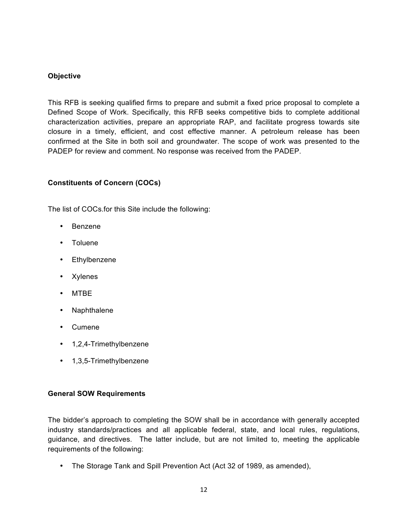### **Objective**

This RFB is seeking qualified firms to prepare and submit a fixed price proposal to complete a Defined Scope of Work. Specifically, this RFB seeks competitive bids to complete additional characterization activities, prepare an appropriate RAP, and facilitate progress towards site closure in a timely, efficient, and cost effective manner. A petroleum release has been confirmed at the Site in both soil and groundwater. The scope of work was presented to the PADEP for review and comment. No response was received from the PADEP.

### **Constituents of Concern (COCs)**

The list of COCs.for this Site include the following:

- Benzene
- Toluene
- Ethylbenzene
- Xylenes
- MTBE
- Naphthalene
- Cumene
- 1,2,4-Trimethylbenzene
- 1,3,5-Trimethylbenzene

### **General SOW Requirements**

The bidder's approach to completing the SOW shall be in accordance with generally accepted industry standards/practices and all applicable federal, state, and local rules, regulations, guidance, and directives. The latter include, but are not limited to, meeting the applicable requirements of the following:

• The Storage Tank and Spill Prevention Act (Act 32 of 1989, as amended),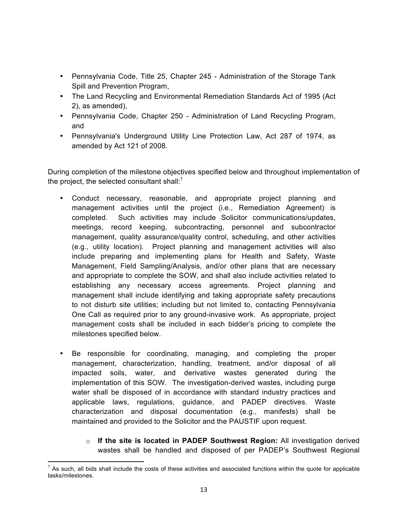- Pennsylvania Code, Title 25, Chapter 245 Administration of the Storage Tank Spill and Prevention Program,
- The Land Recycling and Environmental Remediation Standards Act of 1995 (Act 2), as amended),
- Pennsylvania Code, Chapter 250 Administration of Land Recycling Program, and
- Pennsylvania's Underground Utility Line Protection Law, Act 287 of 1974, as amended by Act 121 of 2008.

During completion of the milestone objectives specified below and throughout implementation of the project, the selected consultant shall: $1$ 

- Conduct necessary, reasonable, and appropriate project planning and management activities until the project (i.e., Remediation Agreement) is completed. Such activities may include Solicitor communications/updates, meetings, record keeping, subcontracting, personnel and subcontractor management, quality assurance/quality control, scheduling, and other activities (e.g., utility location). Project planning and management activities will also include preparing and implementing plans for Health and Safety, Waste Management, Field Sampling/Analysis, and/or other plans that are necessary and appropriate to complete the SOW, and shall also include activities related to establishing any necessary access agreements. Project planning and management shall include identifying and taking appropriate safety precautions to not disturb site utilities; including but not limited to, contacting Pennsylvania One Call as required prior to any ground-invasive work. As appropriate, project management costs shall be included in each bidder's pricing to complete the milestones specified below.
- Be responsible for coordinating, managing, and completing the proper management, characterization, handling, treatment, and/or disposal of all impacted soils, water, and derivative wastes generated during the implementation of this SOW. The investigation-derived wastes, including purge water shall be disposed of in accordance with standard industry practices and applicable laws, regulations, guidance, and PADEP directives. Waste characterization and disposal documentation (e.g., manifests) shall be maintained and provided to the Solicitor and the PAUSTIF upon request.
	- o **If the site is located in PADEP Southwest Region:** All investigation derived wastes shall be handled and disposed of per PADEP's Southwest Regional

As such, all bids shall include the costs of these activities and associated functions within the quote for applicable tasks/milestones.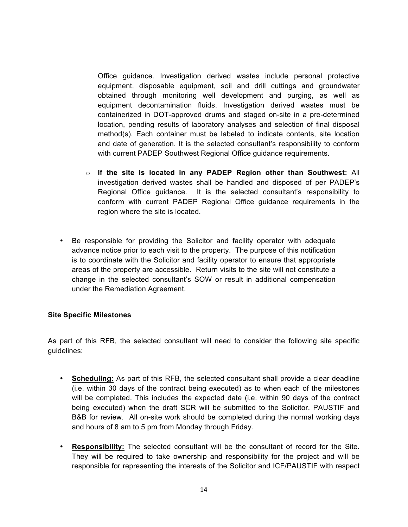Office guidance. Investigation derived wastes include personal protective equipment, disposable equipment, soil and drill cuttings and groundwater obtained through monitoring well development and purging, as well as equipment decontamination fluids. Investigation derived wastes must be containerized in DOT-approved drums and staged on-site in a pre-determined location, pending results of laboratory analyses and selection of final disposal method(s). Each container must be labeled to indicate contents, site location and date of generation. It is the selected consultant's responsibility to conform with current PADEP Southwest Regional Office guidance requirements.

- o **If the site is located in any PADEP Region other than Southwest:** All investigation derived wastes shall be handled and disposed of per PADEP's Regional Office guidance. It is the selected consultant's responsibility to conform with current PADEP Regional Office guidance requirements in the region where the site is located.
- Be responsible for providing the Solicitor and facility operator with adequate advance notice prior to each visit to the property. The purpose of this notification is to coordinate with the Solicitor and facility operator to ensure that appropriate areas of the property are accessible. Return visits to the site will not constitute a change in the selected consultant's SOW or result in additional compensation under the Remediation Agreement.

### **Site Specific Milestones**

As part of this RFB, the selected consultant will need to consider the following site specific guidelines:

- **Scheduling:** As part of this RFB, the selected consultant shall provide a clear deadline (i.e. within 30 days of the contract being executed) as to when each of the milestones will be completed. This includes the expected date (i.e. within 90 days of the contract being executed) when the draft SCR will be submitted to the Solicitor, PAUSTIF and B&B for review. All on-site work should be completed during the normal working days and hours of 8 am to 5 pm from Monday through Friday.
- **Responsibility:** The selected consultant will be the consultant of record for the Site. They will be required to take ownership and responsibility for the project and will be responsible for representing the interests of the Solicitor and ICF/PAUSTIF with respect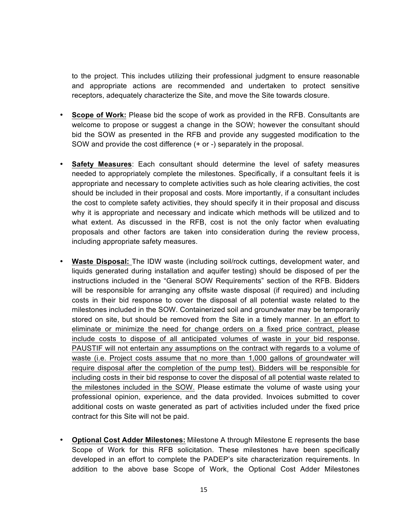to the project. This includes utilizing their professional judgment to ensure reasonable and appropriate actions are recommended and undertaken to protect sensitive receptors, adequately characterize the Site, and move the Site towards closure.

- **Scope of Work:** Please bid the scope of work as provided in the RFB. Consultants are welcome to propose or suggest a change in the SOW; however the consultant should bid the SOW as presented in the RFB and provide any suggested modification to the SOW and provide the cost difference (+ or -) separately in the proposal.
- **Safety Measures**: Each consultant should determine the level of safety measures needed to appropriately complete the milestones. Specifically, if a consultant feels it is appropriate and necessary to complete activities such as hole clearing activities, the cost should be included in their proposal and costs. More importantly, if a consultant includes the cost to complete safety activities, they should specify it in their proposal and discuss why it is appropriate and necessary and indicate which methods will be utilized and to what extent. As discussed in the RFB, cost is not the only factor when evaluating proposals and other factors are taken into consideration during the review process, including appropriate safety measures.
- **Waste Disposal:** The IDW waste (including soil/rock cuttings, development water, and liquids generated during installation and aquifer testing) should be disposed of per the instructions included in the "General SOW Requirements" section of the RFB. Bidders will be responsible for arranging any offsite waste disposal (if required) and including costs in their bid response to cover the disposal of all potential waste related to the milestones included in the SOW. Containerized soil and groundwater may be temporarily stored on site, but should be removed from the Site in a timely manner. In an effort to eliminate or minimize the need for change orders on a fixed price contract, please include costs to dispose of all anticipated volumes of waste in your bid response. PAUSTIF will not entertain any assumptions on the contract with regards to a volume of waste (i.e. Project costs assume that no more than 1,000 gallons of groundwater will require disposal after the completion of the pump test). Bidders will be responsible for including costs in their bid response to cover the disposal of all potential waste related to the milestones included in the SOW. Please estimate the volume of waste using your professional opinion, experience, and the data provided. Invoices submitted to cover additional costs on waste generated as part of activities included under the fixed price contract for this Site will not be paid.
- **Optional Cost Adder Milestones:** Milestone A through Milestone E represents the base Scope of Work for this RFB solicitation. These milestones have been specifically developed in an effort to complete the PADEP's site characterization requirements. In addition to the above base Scope of Work, the Optional Cost Adder Milestones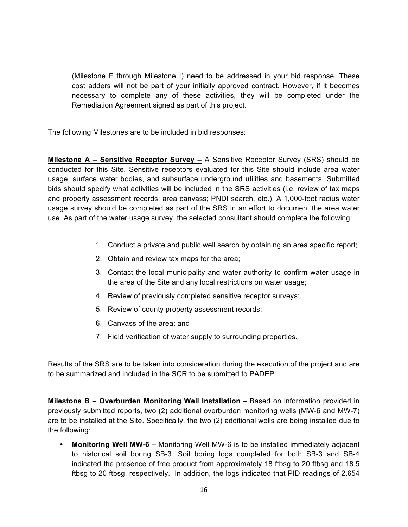(Milestone F through Milestone I) need to be addressed in your bid response. These cost adders will not be part of your initially approved contract. However, if it becomes necessary to complete any of these activities, they will be completed under the Remediation Agreement signed as part of this project.

The following Milestones are to be included in bid responses:

**Milestone A – Sensitive Receptor Survey –** A Sensitive Receptor Survey (SRS) should be conducted for this Site. Sensitive receptors evaluated for this Site should include area water usage, surface water bodies, and subsurface underground utilities and basements. Submitted bids should specify what activities will be included in the SRS activities (i.e. review of tax maps and property assessment records; area canvass; PNDI search, etc.). A 1,000-foot radius water usage survey should be completed as part of the SRS in an effort to document the area water use. As part of the water usage survey, the selected consultant should complete the following:

- 1. Conduct a private and public well search by obtaining an area specific report;
- 2. Obtain and review tax maps for the area;
- 3. Contact the local municipality and water authority to confirm water usage in the area of the Site and any local restrictions on water usage;
- 4. Review of previously completed sensitive receptor surveys;
- 5. Review of county property assessment records;
- 6. Canvass of the area; and
- 7. Field verification of water supply to surrounding properties.

Results of the SRS are to be taken into consideration during the execution of the project and are to be summarized and included in the SCR to be submitted to PADEP.

**Milestone B – Overburden Monitoring Well Installation –** Based on information provided in previously submitted reports, two (2) additional overburden monitoring wells (MW-6 and MW-7) are to be installed at the Site. Specifically, the two (2) additional wells are being installed due to the following:

• **Monitoring Well MW-6 –** Monitoring Well MW-6 is to be installed immediately adjacent to historical soil boring SB-3. Soil boring logs completed for both SB-3 and SB-4 indicated the presence of free product from approximately 18 ftbsg to 20 ftbsg and 18.5 ftbsg to 20 ftbsg, respectively. In addition, the logs indicated that PID readings of 2,654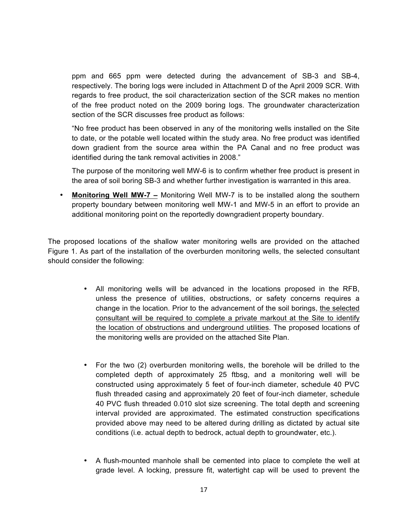ppm and 665 ppm were detected during the advancement of SB-3 and SB-4, respectively. The boring logs were included in Attachment D of the April 2009 SCR. With regards to free product, the soil characterization section of the SCR makes no mention of the free product noted on the 2009 boring logs. The groundwater characterization section of the SCR discusses free product as follows:

"No free product has been observed in any of the monitoring wells installed on the Site to date, or the potable well located within the study area. No free product was identified down gradient from the source area within the PA Canal and no free product was identified during the tank removal activities in 2008."

The purpose of the monitoring well MW-6 is to confirm whether free product is present in the area of soil boring SB-3 and whether further investigation is warranted in this area.

• **Monitoring Well MW-7 –** Monitoring Well MW-7 is to be installed along the southern property boundary between monitoring well MW-1 and MW-5 in an effort to provide an additional monitoring point on the reportedly downgradient property boundary.

The proposed locations of the shallow water monitoring wells are provided on the attached Figure 1. As part of the installation of the overburden monitoring wells, the selected consultant should consider the following:

- All monitoring wells will be advanced in the locations proposed in the RFB, unless the presence of utilities, obstructions, or safety concerns requires a change in the location. Prior to the advancement of the soil borings, the selected consultant will be required to complete a private markout at the Site to identify the location of obstructions and underground utilities. The proposed locations of the monitoring wells are provided on the attached Site Plan.
- For the two (2) overburden monitoring wells, the borehole will be drilled to the completed depth of approximately 25 ftbsg, and a monitoring well will be constructed using approximately 5 feet of four-inch diameter, schedule 40 PVC flush threaded casing and approximately 20 feet of four-inch diameter, schedule 40 PVC flush threaded 0.010 slot size screening. The total depth and screening interval provided are approximated. The estimated construction specifications provided above may need to be altered during drilling as dictated by actual site conditions (i.e. actual depth to bedrock, actual depth to groundwater, etc.).
- A flush-mounted manhole shall be cemented into place to complete the well at grade level. A locking, pressure fit, watertight cap will be used to prevent the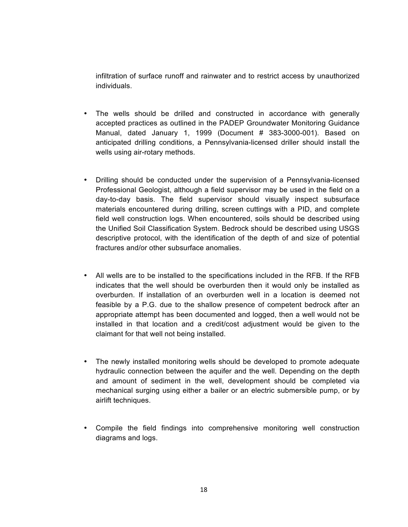infiltration of surface runoff and rainwater and to restrict access by unauthorized individuals.

- The wells should be drilled and constructed in accordance with generally accepted practices as outlined in the PADEP Groundwater Monitoring Guidance Manual, dated January 1, 1999 (Document # 383-3000-001). Based on anticipated drilling conditions, a Pennsylvania-licensed driller should install the wells using air-rotary methods.
- Drilling should be conducted under the supervision of a Pennsylvania-licensed Professional Geologist, although a field supervisor may be used in the field on a day-to-day basis. The field supervisor should visually inspect subsurface materials encountered during drilling, screen cuttings with a PID, and complete field well construction logs. When encountered, soils should be described using the Unified Soil Classification System. Bedrock should be described using USGS descriptive protocol, with the identification of the depth of and size of potential fractures and/or other subsurface anomalies.
- All wells are to be installed to the specifications included in the RFB. If the RFB indicates that the well should be overburden then it would only be installed as overburden. If installation of an overburden well in a location is deemed not feasible by a P.G. due to the shallow presence of competent bedrock after an appropriate attempt has been documented and logged, then a well would not be installed in that location and a credit/cost adjustment would be given to the claimant for that well not being installed.
- The newly installed monitoring wells should be developed to promote adequate hydraulic connection between the aquifer and the well. Depending on the depth and amount of sediment in the well, development should be completed via mechanical surging using either a bailer or an electric submersible pump, or by airlift techniques.
- Compile the field findings into comprehensive monitoring well construction diagrams and logs.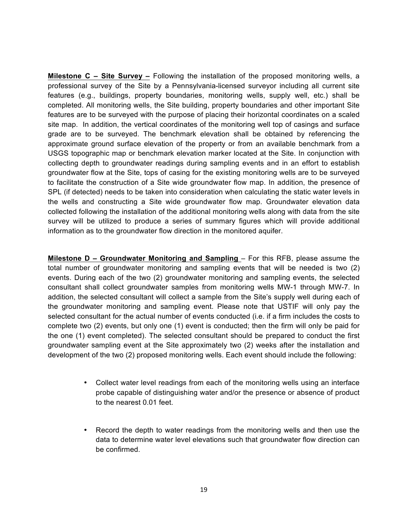**Milestone C – Site Survey –** Following the installation of the proposed monitoring wells, a professional survey of the Site by a Pennsylvania-licensed surveyor including all current site features (e.g., buildings, property boundaries, monitoring wells, supply well, etc.) shall be completed. All monitoring wells, the Site building, property boundaries and other important Site features are to be surveyed with the purpose of placing their horizontal coordinates on a scaled site map. In addition, the vertical coordinates of the monitoring well top of casings and surface grade are to be surveyed. The benchmark elevation shall be obtained by referencing the approximate ground surface elevation of the property or from an available benchmark from a USGS topographic map or benchmark elevation marker located at the Site. In conjunction with collecting depth to groundwater readings during sampling events and in an effort to establish groundwater flow at the Site, tops of casing for the existing monitoring wells are to be surveyed to facilitate the construction of a Site wide groundwater flow map. In addition, the presence of SPL (if detected) needs to be taken into consideration when calculating the static water levels in the wells and constructing a Site wide groundwater flow map. Groundwater elevation data collected following the installation of the additional monitoring wells along with data from the site survey will be utilized to produce a series of summary figures which will provide additional information as to the groundwater flow direction in the monitored aquifer.

**Milestone D – Groundwater Monitoring and Sampling** – For this RFB, please assume the total number of groundwater monitoring and sampling events that will be needed is two (2) events. During each of the two (2) groundwater monitoring and sampling events, the selected consultant shall collect groundwater samples from monitoring wells MW-1 through MW-7. In addition, the selected consultant will collect a sample from the Site's supply well during each of the groundwater monitoring and sampling event. Please note that USTIF will only pay the selected consultant for the actual number of events conducted (i.e. if a firm includes the costs to complete two (2) events, but only one (1) event is conducted; then the firm will only be paid for the one (1) event completed). The selected consultant should be prepared to conduct the first groundwater sampling event at the Site approximately two (2) weeks after the installation and development of the two (2) proposed monitoring wells. Each event should include the following:

- Collect water level readings from each of the monitoring wells using an interface probe capable of distinguishing water and/or the presence or absence of product to the nearest 0.01 feet.
- Record the depth to water readings from the monitoring wells and then use the data to determine water level elevations such that groundwater flow direction can be confirmed.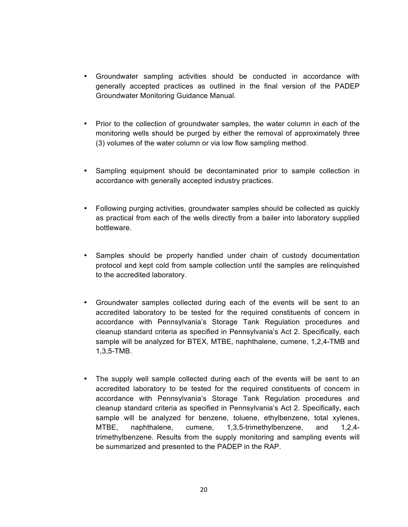- Groundwater sampling activities should be conducted in accordance with generally accepted practices as outlined in the final version of the PADEP Groundwater Monitoring Guidance Manual.
- Prior to the collection of groundwater samples, the water column in each of the monitoring wells should be purged by either the removal of approximately three (3) volumes of the water column or via low flow sampling method.
- Sampling equipment should be decontaminated prior to sample collection in accordance with generally accepted industry practices.
- Following purging activities, groundwater samples should be collected as quickly as practical from each of the wells directly from a bailer into laboratory supplied bottleware.
- Samples should be properly handled under chain of custody documentation protocol and kept cold from sample collection until the samples are relinquished to the accredited laboratory.
- Groundwater samples collected during each of the events will be sent to an accredited laboratory to be tested for the required constituents of concern in accordance with Pennsylvania's Storage Tank Regulation procedures and cleanup standard criteria as specified in Pennsylvania's Act 2. Specifically, each sample will be analyzed for BTEX, MTBE, naphthalene, cumene, 1,2,4-TMB and 1,3,5-TMB.
- The supply well sample collected during each of the events will be sent to an accredited laboratory to be tested for the required constituents of concern in accordance with Pennsylvania's Storage Tank Regulation procedures and cleanup standard criteria as specified in Pennsylvania's Act 2. Specifically, each sample will be analyzed for benzene, toluene, ethylbenzene, total xylenes, MTBE, naphthalene, cumene, 1,3,5-trimethylbenzene, and 1,2,4 trimethylbenzene. Results from the supply monitoring and sampling events will be summarized and presented to the PADEP in the RAP.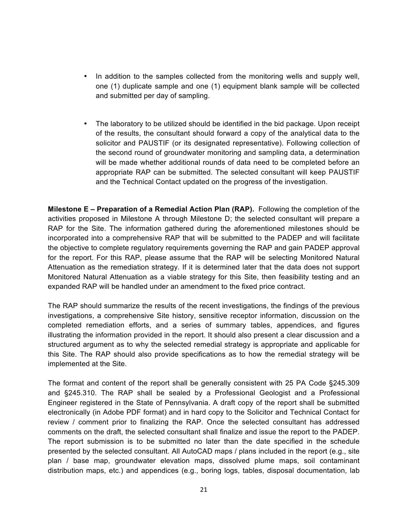- In addition to the samples collected from the monitoring wells and supply well, one (1) duplicate sample and one (1) equipment blank sample will be collected and submitted per day of sampling.
- The laboratory to be utilized should be identified in the bid package. Upon receipt of the results, the consultant should forward a copy of the analytical data to the solicitor and PAUSTIF (or its designated representative). Following collection of the second round of groundwater monitoring and sampling data, a determination will be made whether additional rounds of data need to be completed before an appropriate RAP can be submitted. The selected consultant will keep PAUSTIF and the Technical Contact updated on the progress of the investigation.

**Milestone E – Preparation of a Remedial Action Plan (RAP).** Following the completion of the activities proposed in Milestone A through Milestone D; the selected consultant will prepare a RAP for the Site. The information gathered during the aforementioned milestones should be incorporated into a comprehensive RAP that will be submitted to the PADEP and will facilitate the objective to complete regulatory requirements governing the RAP and gain PADEP approval for the report. For this RAP, please assume that the RAP will be selecting Monitored Natural Attenuation as the remediation strategy. If it is determined later that the data does not support Monitored Natural Attenuation as a viable strategy for this Site, then feasibility testing and an expanded RAP will be handled under an amendment to the fixed price contract.

The RAP should summarize the results of the recent investigations, the findings of the previous investigations, a comprehensive Site history, sensitive receptor information, discussion on the completed remediation efforts, and a series of summary tables, appendices, and figures illustrating the information provided in the report. It should also present a clear discussion and a structured argument as to why the selected remedial strategy is appropriate and applicable for this Site. The RAP should also provide specifications as to how the remedial strategy will be implemented at the Site.

The format and content of the report shall be generally consistent with 25 PA Code §245.309 and §245.310. The RAP shall be sealed by a Professional Geologist and a Professional Engineer registered in the State of Pennsylvania. A draft copy of the report shall be submitted electronically (in Adobe PDF format) and in hard copy to the Solicitor and Technical Contact for review / comment prior to finalizing the RAP. Once the selected consultant has addressed comments on the draft, the selected consultant shall finalize and issue the report to the PADEP. The report submission is to be submitted no later than the date specified in the schedule presented by the selected consultant. All AutoCAD maps / plans included in the report (e.g., site plan / base map, groundwater elevation maps, dissolved plume maps, soil contaminant distribution maps, etc.) and appendices (e.g., boring logs, tables, disposal documentation, lab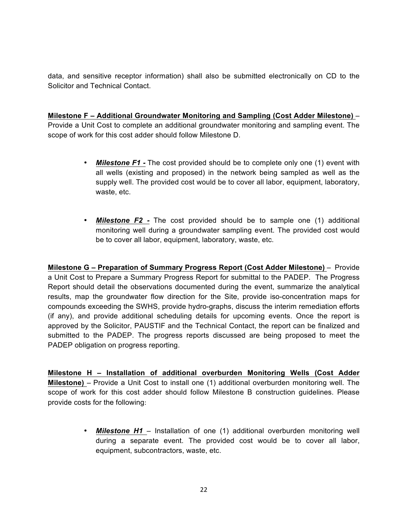data, and sensitive receptor information) shall also be submitted electronically on CD to the Solicitor and Technical Contact.

**Milestone F – Additional Groundwater Monitoring and Sampling (Cost Adder Milestone)** – Provide a Unit Cost to complete an additional groundwater monitoring and sampling event. The scope of work for this cost adder should follow Milestone D.

- *Milestone F1 -* The cost provided should be to complete only one (1) event with all wells (existing and proposed) in the network being sampled as well as the supply well. The provided cost would be to cover all labor, equipment, laboratory, waste, etc.
- *Milestone F2 -* The cost provided should be to sample one (1) additional monitoring well during a groundwater sampling event. The provided cost would be to cover all labor, equipment, laboratory, waste, etc.

**Milestone G – Preparation of Summary Progress Report (Cost Adder Milestone)** – Provide a Unit Cost to Prepare a Summary Progress Report for submittal to the PADEP. The Progress Report should detail the observations documented during the event, summarize the analytical results, map the groundwater flow direction for the Site, provide iso-concentration maps for compounds exceeding the SWHS, provide hydro-graphs, discuss the interim remediation efforts (if any), and provide additional scheduling details for upcoming events. Once the report is approved by the Solicitor, PAUSTIF and the Technical Contact, the report can be finalized and submitted to the PADEP. The progress reports discussed are being proposed to meet the PADEP obligation on progress reporting.

**Milestone H – Installation of additional overburden Monitoring Wells (Cost Adder Milestone)** – Provide a Unit Cost to install one (1) additional overburden monitoring well. The scope of work for this cost adder should follow Milestone B construction guidelines. Please provide costs for the following:

> • *Milestone H1* – Installation of one (1) additional overburden monitoring well during a separate event. The provided cost would be to cover all labor, equipment, subcontractors, waste, etc.